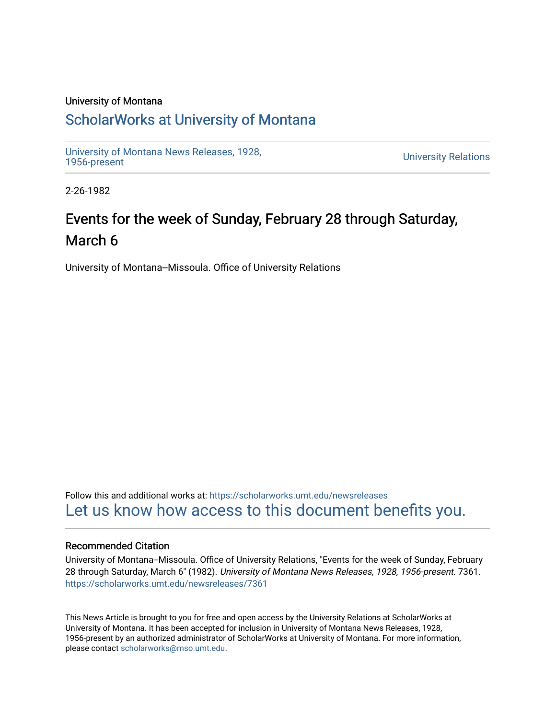### University of Montana

### [ScholarWorks at University of Montana](https://scholarworks.umt.edu/)

[University of Montana News Releases, 1928,](https://scholarworks.umt.edu/newsreleases) 

**University Relations** 

2-26-1982

## Events for the week of Sunday, February 28 through Saturday, March 6

University of Montana--Missoula. Office of University Relations

Follow this and additional works at: [https://scholarworks.umt.edu/newsreleases](https://scholarworks.umt.edu/newsreleases?utm_source=scholarworks.umt.edu%2Fnewsreleases%2F7361&utm_medium=PDF&utm_campaign=PDFCoverPages) [Let us know how access to this document benefits you.](https://goo.gl/forms/s2rGfXOLzz71qgsB2) 

### Recommended Citation

University of Montana--Missoula. Office of University Relations, "Events for the week of Sunday, February 28 through Saturday, March 6" (1982). University of Montana News Releases, 1928, 1956-present. 7361. [https://scholarworks.umt.edu/newsreleases/7361](https://scholarworks.umt.edu/newsreleases/7361?utm_source=scholarworks.umt.edu%2Fnewsreleases%2F7361&utm_medium=PDF&utm_campaign=PDFCoverPages) 

This News Article is brought to you for free and open access by the University Relations at ScholarWorks at University of Montana. It has been accepted for inclusion in University of Montana News Releases, 1928, 1956-present by an authorized administrator of ScholarWorks at University of Montana. For more information, please contact [scholarworks@mso.umt.edu.](mailto:scholarworks@mso.umt.edu)